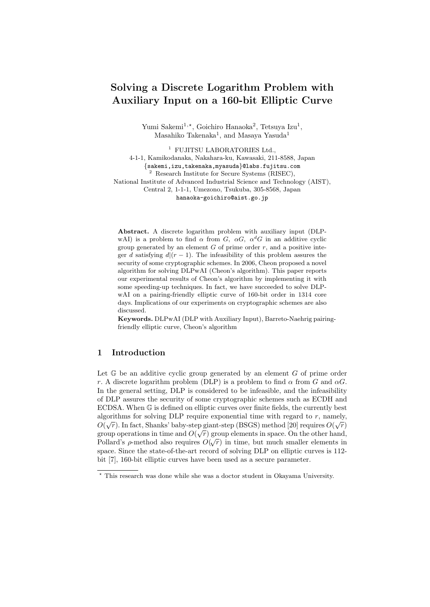# **Solving a Discrete Logarithm Problem with Auxiliary Input on a 160-bit Elliptic Curve**

Yumi Sakemi<sup>1,\*</sup>, Goichiro Hanaoka<sup>2</sup>, Tetsuya Izu<sup>1</sup>, Masahiko Takenaka<sup>1</sup>, and Masaya Yasuda<sup>1</sup>

<sup>1</sup> FUJITSU LABORATORIES Ltd., 4-1-1, Kamikodanaka, Nakahara-ku, Kawasaki, 211-8588, Japan *{*sakemi,izu,takenaka,myasuda*}*@labs.fujitsu.com <sup>2</sup> Research Institute for Secure Systems (RISEC), National Institute of Advanced Industrial Science and Technology (AIST), Central 2, 1-1-1, Umezono, Tsukuba, 305-8568, Japan hanaoka-goichiro@aist.go.jp

**Abstract.** A discrete logarithm problem with auxiliary input (DLPwAI) is a problem to find  $\alpha$  from *G*,  $\alpha G$ ,  $\alpha^{d}G$  in an additive cyclic group generated by an element  $G$  of prime order  $r$ , and a positive integer *d* satisfying  $d$ <sub></sub> $(r-1)$ . The infeasibility of this problem assures the security of some cryptographic schemes. In 2006, Cheon proposed a novel algorithm for solving DLPwAI (Cheon's algorithm). This paper reports our experimental results of Cheon's algorithm by implementing it with some speeding-up techniques. In fact, we have succeeded to solve DLPwAI on a pairing-friendly elliptic curve of 160-bit order in 1314 core days. Implications of our experiments on cryptographic schemes are also discussed.

**Keywords.** DLPwAI (DLP with Auxiliary Input), Barreto-Naehrig pairingfriendly elliptic curve, Cheon's algorithm

# **1 Introduction**

Let G be an additive cyclic group generated by an element *G* of prime order *r*. A discrete logarithm problem (DLP) is a problem to find  $\alpha$  from  $G$  and  $\alpha G$ . In the general setting, DLP is considered to be infeasible, and the infeasibility of DLP assures the security of some cryptographic schemes such as ECDH and ECDSA. When  $\mathbb G$  is defined on elliptic curves over finite fields, the currently best algorithms for solving DLP require exponential time with regard to  $r$ , namely,  $O(\sqrt{r})$ . In fact, Shanks' baby-step giant-step (BSGS) method [20] requires  $O(\sqrt{r})$ group operations in time and  $O(\sqrt{r})$  group elements in space. On the other hand, Pollard's  $\rho$ -method also requires  $O(\sqrt{r})$  in time, but much smaller elements in space. Since the state-of-the-art record of solving DLP on elliptic curves is 112 bit [7], 160-bit elliptic curves have been used as a secure parameter.

*<sup>⋆</sup>* This research was done while she was a doctor student in Okayama University.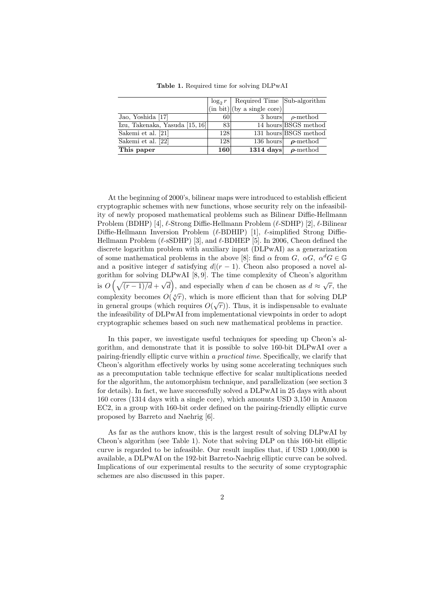|                                  |     | $\log_2 r$   Required Time   Sub-algorithm                                   |                          |
|----------------------------------|-----|------------------------------------------------------------------------------|--------------------------|
|                                  |     | $\frac{1}{\ln \text{bit}}$ (in bit) $\left  \text{by a single core} \right $ |                          |
| Jao, Yoshida [17]                | 60  | 3 hours                                                                      | $\rho$ -method           |
| Izu, Takenaka, Yasuda $[15, 16]$ | 83  |                                                                              | 14 hours BSGS method     |
| Sakemi et al. [21]               | 128 |                                                                              | 131 hours BSGS method    |
| Sakemi et al. [22]               | 128 |                                                                              | 136 hours $\rho$ -method |
| This paper                       | 160 | $1314 \text{ days}$                                                          | $\rho$ -method           |

**Table 1.** Required time for solving DLPwAI

At the beginning of 2000's, bilinear maps were introduced to establish efficient cryptographic schemes with new functions, whose security rely on the infeasibility of newly proposed mathematical problems such as Bilinear Diffie-Hellmann Problem (BDHP) [4], *ℓ*-Strong Diffie-Hellmann Problem (*ℓ*-SDHP) [2], *ℓ*-Bilinear Diffie-Hellmann Inversion Problem (*ℓ*-BDHIP) [1], *ℓ*-simplified Strong Diffie-Hellmann Problem (*ℓ*-sSDHP) [3], and *ℓ*-BDHEP [5]. In 2006, Cheon defined the discrete logarithm problem with auxiliary input (DLPwAI) as a generarization of some mathematical problems in the above [8]: find  $\alpha$  from  $G$ ,  $\alpha G$ ,  $\alpha^d G \in \mathbb{G}$ and a positive integer *d* satisfying  $d|(r-1)$ . Cheon also proposed a novel algorithm for solving DLPwAI [8, 9]. The time complexity of Cheon's algorithm is  $O(\sqrt{(r-1)/d} + \sqrt{d})$ , and especially when *d* can be chosen as  $d \approx \sqrt{r}$ , the complexity becomes  $O(\sqrt[4]{r})$ , which is more efficient than that for solving DLP in general groups (which requires  $O(\sqrt{r})$ ). Thus, it is indispensable to evaluate the infeasibility of DLPwAI from implementational viewpoints in order to adopt cryptographic schemes based on such new mathematical problems in practice.

In this paper, we investigate useful techniques for speeding up Cheon's algorithm, and demonstrate that it is possible to solve 160-bit DLPwAI over a pairing-friendly elliptic curve within *a practical time*. Specifically, we clarify that Cheon's algorithm effectively works by using some accelerating techniques such as a precomputation table technique effective for scalar multiplications needed for the algorithm, the automorphism technique, and parallelization (see section 3 for details). In fact, we have successfully solved a DLPwAI in 25 days with about 160 cores (1314 days with a single core), which amounts USD 3,150 in Amazon EC2, in a group with 160-bit order defined on the pairing-friendly elliptic curve proposed by Barreto and Naehrig [6].

As far as the authors know, this is the largest result of solving DLPwAI by Cheon's algorithm (see Table 1). Note that solving DLP on this 160-bit elliptic curve is regarded to be infeasible. Our result implies that, if USD 1,000,000 is available, a DLPwAI on the 192-bit Barreto-Naehrig elliptic curve can be solved. Implications of our experimental results to the security of some cryptographic schemes are also discussed in this paper.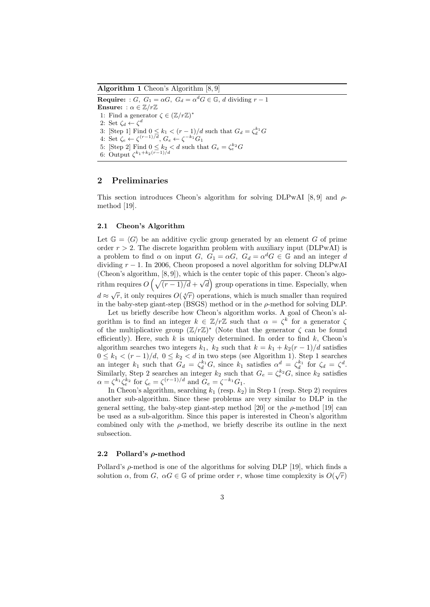**Algorithm 1** Cheon's Algorithm [8, 9]

**Require:** : *G*,  $G_1 = \alpha G$ ,  $G_d = \alpha^d G \in \mathbb{G}$ , *d* dividing  $r - 1$ **Ensure:** :  $\alpha \in \mathbb{Z}/r\mathbb{Z}$ 1: Find a generator  $\zeta \in (\mathbb{Z}/r\mathbb{Z})^*$ 2: Set  $\zeta_d \leftarrow \zeta^d$ 3: [Step 1] Find  $0 \le k_1 < (r-1)/d$  such that  $G_d = \zeta_d^{k_1}G$ 4: Set  $\zeta_e \leftarrow \zeta^{(r-1)/d}, G_e \leftarrow \zeta^{-k_1} G_1$ 5: [Step 2] Find  $0 \le k_2 < d$  such that  $G_e = \zeta_e^{k_2} G$ 6: Output  $\zeta^{k_1+k_2(r-1)/d}$ 

# **2 Preliminaries**

This section introduces Cheon's algorithm for solving DLPwAI [8, 9] and *ρ*method [19].

#### **2.1 Cheon's Algorithm**

Let  $\mathbb{G} = \langle G \rangle$  be an additive cyclic group generated by an element G of prime order  $r > 2$ . The discrete logarithm problem with auxiliary input (DLPwAI) is a problem to find  $\alpha$  on input *G*,  $G_1 = \alpha G$ ,  $G_d = \alpha^d G \in \mathbb{G}$  and an integer *d* dividing  $r - 1$ . In 2006, Cheon proposed a novel algorithm for solving DLPwAI (Cheon's algorithm, [8, 9]), which is the center topic of this paper. Cheon's algorithm requires  $O(\sqrt{(r-1)/d} + \sqrt{d})$  group operations in time. Especially, when  $d \approx \sqrt{r}$ , it only requires  $O(\sqrt[4]{r})$  operations, which is much smaller than required in the baby-step giant-step (BSGS) method or in the *ρ*-method for solving DLP.

Let us briefly describe how Cheon's algorithm works. A goal of Cheon's algorithm is to find an integer  $k \in \mathbb{Z}/r\mathbb{Z}$  such that  $\alpha = \zeta^k$  for a generator  $\zeta$ of the multiplicative group (Z*/r*Z) *∗* (Note that the generator *ζ* can be found efficiently). Here, such *k* is uniquely determined. In order to find *k*, Cheon's algorithm searches two integers  $k_1$ ,  $k_2$  such that  $k = k_1 + k_2(r - 1)/d$  satisfies 0 ≤  $k_1$  <  $(r-1)/d$ , 0 ≤  $k_2$  < *d* in two steps (see Algorithm 1). Step 1 searches an integer  $k_1$  such that  $G_d = \zeta_d^{k_1} G$ , since  $k_1$  satisfies  $\alpha^d = \zeta_d^{k_1}$  for  $\zeta_d = \zeta^d$ . Similarly, Step 2 searches an integer  $k_2$  such that  $G_e = \zeta_e^{k_2} G$ , since  $k_2$  satisfies  $\alpha = \zeta^{k_1} \zeta_e^{k_2}$  for  $\zeta_e = \zeta^{(r-1)/d}$  and  $G_e = \zeta^{-k_1} G_1$ .

In Cheon's algorithm, searching  $k_1$  (resp.  $k_2$ ) in Step 1 (resp. Step 2) requires another sub-algorithm. Since these problems are very similar to DLP in the general setting, the baby-step giant-step method [20] or the  $\rho$ -method [19] can be used as a sub-algorithm. Since this paper is interested in Cheon's algorithm combined only with the *ρ*-method, we briefly describe its outline in the next subsection.

### **2.2 Pollard's** *ρ***-method**

Pollard's *ρ*-method is one of the algorithms for solving DLP [19], which finds a solution  $\alpha$ , from  $G$ ,  $\alpha G \in \mathbb{G}$  of prime order *r*, whose time complexity is  $O(\sqrt{r})$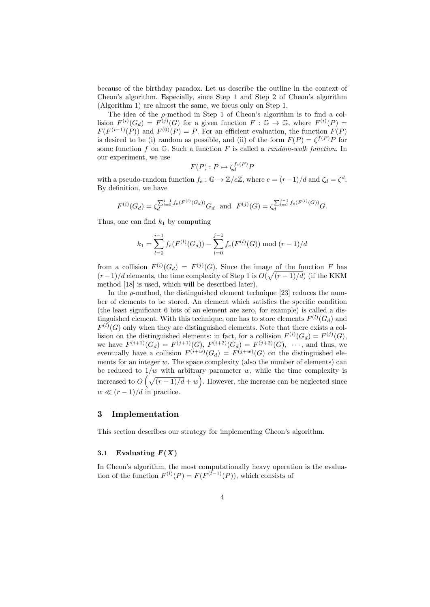because of the birthday paradox. Let us describe the outline in the context of Cheon's algorithm. Especially, since Step 1 and Step 2 of Cheon's algorithm (Algorithm 1) are almost the same, we focus only on Step 1.

The idea of the *ρ*-method in Step 1 of Cheon's algorithm is to find a collision  $F^{(i)}(G_d) = F^{(j)}(G)$  for a given function  $F : \mathbb{G} \to \mathbb{G}$ , where  $F^{(i)}(P) =$  $F(F^{(i-1)}(P))$  and  $F^{(0)}(P) = P$ . For an efficient evaluation, the function  $F(P)$ is desired to be (i) random as possible, and (ii) of the form  $F(P) = \zeta^{f(P)} P$  for some function *f* on G. Such a function *F* is called a *random-walk function*. In our experiment, we use

$$
F(P) : P \mapsto \zeta_d^{f_e(P)} P
$$

with a pseudo-random function  $f_e : \mathbb{G} \to \mathbb{Z}/e\mathbb{Z}$ , where  $e = (r-1)/d$  and  $\zeta_d = \zeta^d$ . By definition, we have

$$
F^{(i)}(G_d) = \zeta_d^{\sum_{l=0}^{i-1} f_e(F^{(l)}(G_d))} G_d \text{ and } F^{(j)}(G) = \zeta_d^{\sum_{l=0}^{j-1} f_e(F^{(l)}(G))} G.
$$

Thus, one can find  $k_1$  by computing

$$
k_1 = \sum_{l=0}^{i-1} f_e(F^{(l)}(G_d)) - \sum_{l=0}^{j-1} f_e(F^{(l)}(G)) \mod (r-1)/d
$$

from a collision  $F^{(i)}(G_d) = F^{(j)}(G)$ . Since the image of the function *F* has  $(r-1)/d$  elements, the time complexity of Step 1 is  $O(\sqrt{(r-1)/d})$  (if the KKM method [18] is used, which will be described later).

In the  $\rho$ -method, the distinguished element technique [23] reduces the number of elements to be stored. An element which satisfies the specific condition (the least significant 6 bits of an element are zero, for example) is called a distinguished element. With this technique, one has to store elements  $F^{(l)}(G_d)$  and  $F^{(l)}(G)$  only when they are distinguished elements. Note that there exists a collision on the distinguished elements: in fact, for a collision  $F^{(i)}(G_d) = F^{(j)}(G)$ , we have  $F^{(i+1)}(G_d) = F^{(j+1)}(G), F^{(i+2)}(G_d) = F^{(j+2)}(G), \dots$ , and thus, we eventually have a collision  $F^{(i+w)}(G_d) = F^{(j+w)}(G)$  on the distinguished elements for an integer *w*. The space complexity (also the number of elements) can be reduced to  $1/w$  with arbitrary parameter  $w$ , while the time complexity is increased to  $O(\sqrt{(r-1)/d} + w)$ . However, the increase can be neglected since  $w \ll (r-1)/d$  in practice.

## **3 Implementation**

This section describes our strategy for implementing Cheon's algorithm.

# **3.1** Evaluating  $F(X)$

In Cheon's algorithm, the most computationally heavy operation is the evaluation of the function  $F^{(l)}(P) = F(F^{(l-1)}(P))$ , which consists of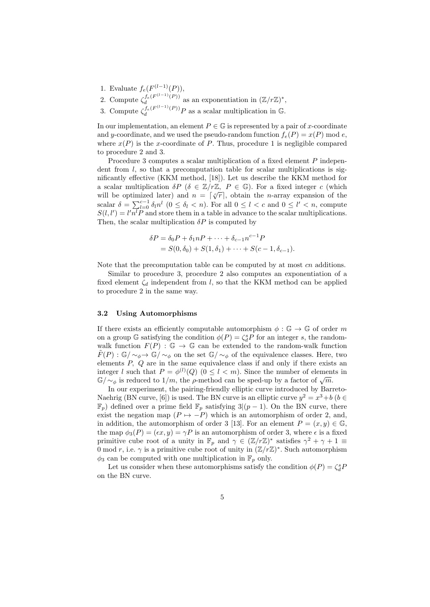- 1. Evaluate  $f_e(F^{(l-1)}(P)),$
- 2. Compute  $\zeta_d^{f_e(F^{(l-1)}(P))}$  $\frac{d}{d}$ <sup>*d*</sup> *d d d a*
- 3. Compute  $\zeta_d^{f_e(F^{(l-1)}(P))}P$  as a scalar multiplication in G.

In our implementation, an element  $P \in \mathbb{G}$  is represented by a pair of *x*-coordinate and *y*-coordinate, and we used the pseudo-random function  $f_e(P) = x(P) \mod e$ , where  $x(P)$  is the *x*-coordinate of *P*. Thus, procedure 1 is negligible compared to procedure 2 and 3.

Procedure 3 computes a scalar multiplication of a fixed element *P* independent from *l*, so that a precomputation table for scalar multiplications is significantly effective (KKM method, [18]). Let us describe the KKM method for a scalar multiplication  $\delta P$  ( $\delta \in \mathbb{Z}/r\mathbb{Z}$ ,  $P \in \mathbb{G}$ ). For a fixed integer *c* (which will be optimized later) and  $n = \lceil \sqrt[c]{r} \rceil$ , obtain the *n*-array expansion of the scalar  $\delta = \sum_{l=0}^{c-1} \delta_l n^l \ (0 \leq \delta_l < n)$ . For all  $0 \leq l < c$  and  $0 \leq l' < n$ , compute  $S(l, l') = l'n^{\dagger} P$  and store them in a table in advance to the scalar multiplications. Then, the scalar multiplication  $\delta P$  is computed by

$$
\delta P = \delta_0 P + \delta_1 n P + \dots + \delta_{c-1} n^{c-1} P
$$
  
=  $S(0, \delta_0) + S(1, \delta_1) + \dots + S(c-1, \delta_{c-1}).$ 

Note that the precomputation table can be computed by at most *cn* additions.

Similar to procedure 3, procedure 2 also computes an exponentiation of a fixed element  $\zeta_d$  independent from *l*, so that the KKM method can be applied to procedure 2 in the same way.

### **3.2 Using Automorphisms**

If there exists an efficiently computable automorphism  $\phi : \mathbb{G} \to \mathbb{G}$  of order *m* on a group  $\mathbb{G}$  satisfying the condition  $\phi(P) = \zeta_d^s P$  for an integer *s*, the randomwalk function  $F(P)$ :  $\mathbb{G} \to \mathbb{G}$  can be extended to the random-walk function *F*(*P*) : G/ ∼<sub>*φ*</sub> → G/ ∼<sub>*φ*</sub> on the set G/ ∼<sub>*φ*</sub> of the equivalence classes. Here, two elements *P, Q* are in the same equivalence class if and only if there exists an integer *l* such that  $P = \phi^{(l)}(Q)$  ( $0 \le l < m$ ). Since the number of elements in  $\mathbb{G}/\sim_{\phi}$  is reduced to 1/*m*, the *ρ*-method can be sped-up by a factor of  $\sqrt{m}$ .

In our experiment, the pairing-friendly elliptic curve introduced by Barreto-Naehrig (BN curve, [6]) is used. The BN curve is an elliptic curve  $y^2 = x^3 + b$  ( $b \in$  $\mathbb{F}_p$ ) defined over a prime field  $\mathbb{F}_p$  satisfying  $3/(p-1)$ . On the BN curve, there exist the negation map  $(P \mapsto -P)$  which is an automorphism of order 2, and, in addition, the automorphism of order 3 [13]. For an element  $P = (x, y) \in \mathbb{G}$ , the map  $\phi_3(P) = (\epsilon x, y) = \gamma P$  is an automorphism of order 3, where  $\epsilon$  is a fixed primitive cube root of a unity in  $\mathbb{F}_p$  and  $\gamma \in (\mathbb{Z}/r\mathbb{Z})^*$  satisfies  $\gamma^2 + \gamma + 1 \equiv$ 0 mod *r*, i.e.  $\gamma$  is a primitive cube root of unity in  $(\mathbb{Z}/r\mathbb{Z})^*$ . Such automorphism  $\phi_3$  can be computed with one multiplication in  $\mathbb{F}_p$  only.

Let us consider when these automorphisms satisfy the condition  $\phi(P) = \zeta_d^s P$ on the BN curve.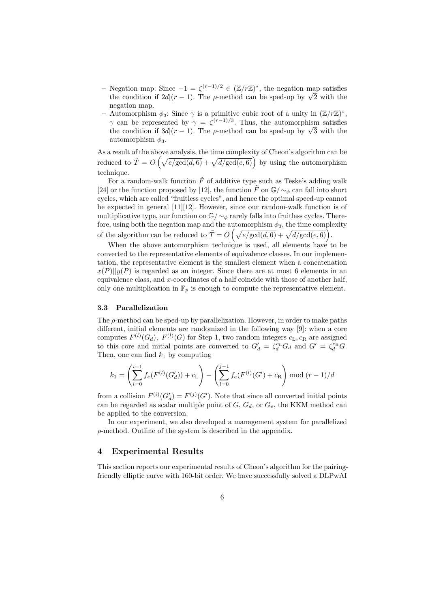- **–** Negation map: Since *−*1 = *ζ* (*r−*1)*/*<sup>2</sup> *<sup>∈</sup>* (Z*/r*Z) *∗* , the negation map satisfies the condition if  $2d$ <sup> $\left(\frac{r}{r} - 1\right)$ . The *ρ*-method can be sped-up by  $\sqrt{2}$  with the</sup> negation map.
- **–** Automorphism *ϕ*3: Since *γ* is a primitive cubic root of a unity in (Z*/r*Z) *∗* , *γ* can be represented by  $\gamma = \zeta^{(r-1)/3}$ . Thus, the automorphism satisfies the condition if  $3d$  $\left(\frac{r-1}{r-1}\right)$ . The *ρ*-method can be sped-up by  $\sqrt{3}$  with the automorphism  $\phi_3$ .

As a result of the above analysis, the time complexity of Cheon's algorithm can be reduced to  $\tilde{T} = O\left(\sqrt{\frac{e/gcd(d,\theta)}{gcd(d,\theta)}} + \sqrt{\frac{d/gcd(e,\theta)}{gde(d,\theta)}}\right)$  by using the automorphism technique.

For a random-walk function  $\tilde{F}$  of additive type such as Teske's adding walk [24] or the function proposed by [12], the function  $\tilde{F}$  on  $\mathbb{G}/\sim_{\phi}$  can fall into short cycles, which are called "fruitless cycles", and hence the optimal speed-up cannot be expected in general [11][12]. However, since our random-walk function is of multiplicative type, our function on G*/∼<sup>ϕ</sup>* rarely falls into fruitless cycles. Therefore, using both the negation map and the automorphism  $\phi_3$ , the time complexity of the algorithm can be reduced to  $\tilde{T} = O\left(\sqrt{\frac{e/\text{gcd}(d, 6)}{+ \sqrt{d/\text{gcd}(e, 6)}}}\right)$ .

When the above automorphism technique is used, all elements have to be converted to the representative elements of equivalence classes. In our implementation, the representative element is the smallest element when a concatenation  $x(P)||y(P)$  is regarded as an integer. Since there are at most 6 elements in an equivalence class, and *x*-coordinates of a half coincide with those of another half, only one multiplication in  $\mathbb{F}_p$  is enough to compute the representative element.

#### **3.3 Parallelization**

The *ρ*-method can be sped-up by parallelization. However, in order to make paths different, initial elements are randomized in the following way [9]: when a core computes  $F^{(l)}(G_d)$ ,  $F^{(l)}(G)$  for Step 1, two random integers  $c_L, c_R$  are assigned to this core and initial points are converted to  $G'_{d} = \zeta_{d}^{c_{L}} G_{d}$  and  $G' = \zeta_{d}^{c_{R}} G$ . Then, one can find  $k_1$  by computing

$$
k_1 = \left(\sum_{l=0}^{i-1} f_e(F^{(l)}(G'_d)) + c_\mathcal{L}\right) - \left(\sum_{l=0}^{j-1} f_e(F^{(l)}(G') + c_\mathcal{R}\right) \bmod (r-1)/d
$$

from a collision  $F^{(i)}(G'_{d}) = F^{(j)}(G')$ . Note that since all converted initial points can be regarded as scalar multiple point of  $G$ ,  $G_d$ , or  $G_e$ , the KKM method can be applied to the conversion.

In our experiment, we also developed a management system for parallelized *ρ*-method. Outline of the system is described in the appendix.

# **4 Experimental Results**

This section reports our experimental results of Cheon's algorithm for the pairingfriendly elliptic curve with 160-bit order. We have successfully solved a DLPwAI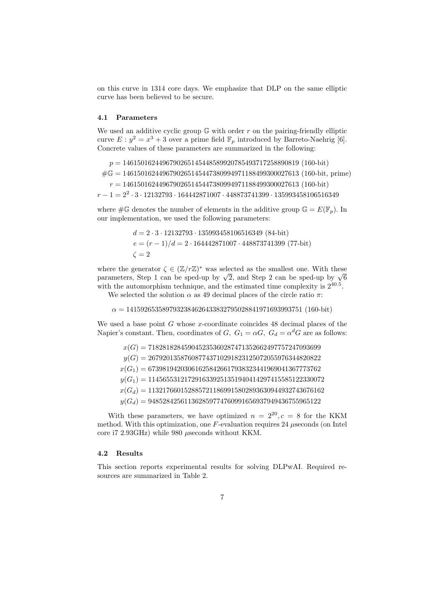on this curve in 1314 core days. We emphasize that DLP on the same elliptic curve has been believed to be secure.

#### **4.1 Parameters**

We used an additive cyclic group  $\mathbb{G}$  with order  $r$  on the pairing-friendly elliptic curve  $E: y^2 = x^3 + 3$  over a prime field  $\mathbb{F}_p$  introduced by Barreto-Naehrig [6]. Concrete values of these parameters are summarized in the following:

*p* = 1461501624496790265145448589920785493717258890819 (160-bit)

#G = 1461501624496790265145447380994971188499300027613 (160-bit, prime)

*r* = 1461501624496790265145447380994971188499300027613 (160-bit)

*<sup>r</sup> <sup>−</sup>* 1 = 2<sup>2</sup> *·* 3 *·* 12132793 *·* 164442871007 *·* 448873741399 *·* 135993458106516349

where  $\#\mathbb{G}$  denotes the number of elements in the additive group  $\mathbb{G} = E(\mathbb{F}_p)$ . In our implementation, we used the following parameters:

$$
d = 2 \cdot 3 \cdot 12132793 \cdot 135993458106516349 \ (84 \text{-} \text{bit})
$$
\n
$$
e = (r - 1)/d = 2 \cdot 164442871007 \cdot 448873741399 \ (77 \text{-} \text{bit})
$$
\n
$$
\zeta = 2
$$

where the generator  $\zeta \in (\mathbb{Z}/r\mathbb{Z})^*$  was selected as the smallest one. With these parameters, Step 1 can be sped-up by  $\sqrt{2}$ , and Step 2 can be sped-up by  $\sqrt{6}$ with the automorphism technique, and the estimated time complexity is  $2^{40.5}$ .

We selected the solution  $\alpha$  as 49 decimal places of the circle ratio  $\pi$ :

 $\alpha = 1415926535897932384626433832795028841971693993751 (160-bit)$ 

We used a base point *G* whose *x*-coordinate coincides 48 decimal places of the Napier's constant. Then, coordinates of *G*,  $G_1 = \alpha G$ ,  $G_d = \alpha^d G$  are as follows:

*x*(*G*) = 718281828459045235360287471352662497757247093699 *y*(*G*) = 267920135876087743710291823125072055976344820822 *x*(*G*1) = 673981942030616258426617938323441969041367773762 *y*(*G*1) = 1145655312172916339251351940414297415585122330072 *x*(*Gd*) = 1132176601528857211869915802893630944932743676162 *y*(*Gd*) = 948528425611362859774760991656937949436755965122

With these parameters, we have optimized  $n = 2^{20}$ ,  $c = 8$  for the KKM method. With this optimization, one *F*-evaluation requires 24 *µ*seconds (on Intel core i7 2.93GHz) while 980 *µ*seconds without KKM.

# **4.2 Results**

This section reports experimental results for solving DLPwAI. Required resources are summarized in Table 2.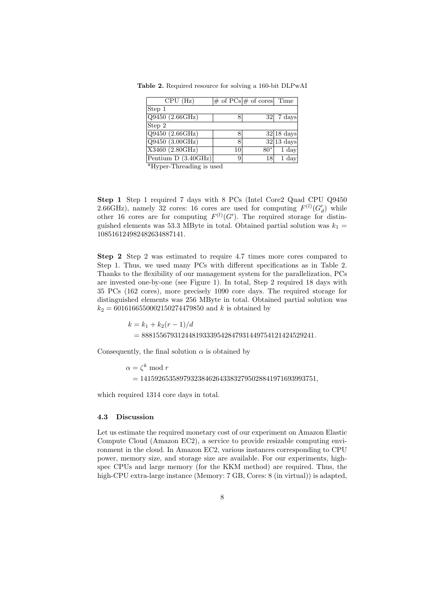**Table 2.** Required resource for solving a 160-bit DLPwAI

| CPU (Hz)                        |    | $\#$ of $\overline{PCs}$ # of cores Time |                     |
|---------------------------------|----|------------------------------------------|---------------------|
| Step 1                          |    |                                          |                     |
| Q9450 (2.66GHz)                 |    |                                          | $32 7 \text{ days}$ |
| Step 2                          |    |                                          |                     |
| Q9450 (2.66GHz)                 |    |                                          | $\sqrt{32 18}$ days |
| Q9450 (3.00GHz)                 | 8  |                                          | $32 13$ days        |
| X3460 (2.80GHz)                 | 10 | $80*$                                    | $1 \mathrm{day}$    |
| Pentium $\overline{D(3.40GHz)}$ | 9  | 18                                       | $1 \mathrm{day}$    |

\*Hyper-Threading is used

**Step 1** Step 1 required 7 days with 8 PCs (Intel Core2 Quad CPU Q9450 2.66GHz), namely 32 cores: 16 cores are used for computing  $F^{(l)}(G'_{d})$  while other 16 cores are for computing  $F^{(l)}(G')$ . The required storage for distinguished elements was 53.3 MByte in total. Obtained partial solution was  $k_1 =$ 108516124982482634887141.

**Step 2** Step 2 was estimated to require 4.7 times more cores compared to Step 1. Thus, we used many PCs with different specifications as in Table 2. Thanks to the flexibility of our management system for the parallelization, PCs are invested one-by-one (see Figure 1). In total, Step 2 required 18 days with 35 PCs (162 cores), more precisely 1090 core days. The required storage for distinguished elements was 256 MByte in total. Obtained partial solution was  $k_2 = 6016166550002150274479850$  and *k* is obtained by

> $k = k_1 + k_2(r - 1)/d$ = 888155679312448193339542847931449754121424529241*.*

Consequently, the final solution  $\alpha$  is obtained by

 $\alpha = \zeta^k \mod r$ = 1415926535897932384626433832795028841971693993751*,*

which required 1314 core days in total.

#### **4.3 Discussion**

Let us estimate the required monetary cost of our experiment on Amazon Elastic Compute Cloud (Amazon EC2), a service to provide resizable computing environment in the cloud. In Amazon EC2, various instances corresponding to CPU power, memory size, and storage size are available. For our experiments, highspec CPUs and large memory (for the KKM method) are required. Thus, the high-CPU extra-large instance (Memory: 7 GB, Cores: 8 (in virtual)) is adapted,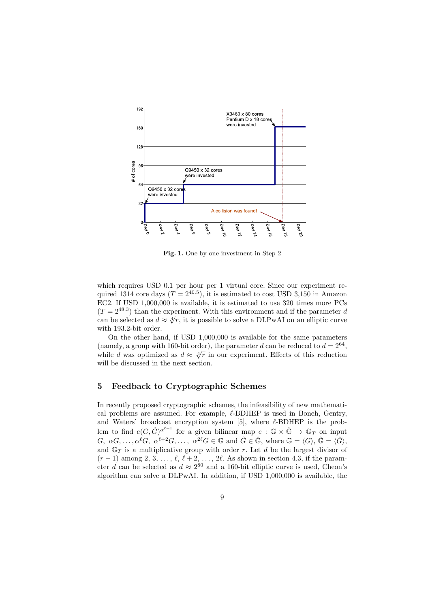

**Fig. 1.** One-by-one investment in Step 2

which requires USD 0.1 per hour per 1 virtual core. Since our experiment required 1314 core days  $(T = 2^{40.5})$ , it is estimated to cost USD 3,150 in Amazon EC2. If USD 1,000,000 is available, it is estimated to use 320 times more PCs  $(T = 2^{48.3})$  than the experiment. With this environment and if the parameter *d* can be selected as  $d \approx \sqrt[4]{r}$ , it is possible to solve a DLPwAI on an elliptic curve with 193*.*2-bit order.

On the other hand, if USD 1,000,000 is available for the same parameters (namely, a group with 160-bit order), the parameter *d* can be reduced to  $d = 2^{64}$ , while *d* was optimized as  $d \approx \sqrt[4]{r}$  in our experiment. Effects of this reduction will be discussed in the next section.

## **5 Feedback to Cryptographic Schemes**

In recently proposed cryptographic schemes, the infeasibility of new mathematical problems are assumed. For example, *ℓ*-BDHEP is used in Boneh, Gentry, and Waters' broadcast encryption system [5], where *ℓ*-BDHEP is the problem to find  $e(G, \hat{G})^{\alpha^{\ell+1}}$  for a given bilinear map  $e : \mathbb{G} \times \hat{\mathbb{G}} \to \mathbb{G}_T$  on input *G*,  $\alpha G, \ldots, \alpha^{\ell} G, \alpha^{\ell+2} G, \ldots, \alpha^{2\ell} G \in \mathbb{G}$  and  $\hat{G} \in \hat{\mathbb{G}}$ , where  $\mathbb{G} = \langle G \rangle, \hat{\mathbb{G}} = \langle \hat{G} \rangle$ , and  $\mathbb{G}_T$  is a multiplicative group with order *r*. Let *d* be the largest divisor of (*r −* 1) among 2, 3, *. . .* , *ℓ*, *ℓ* + 2, *. . .* , 2*ℓ*. As shown in section 4.3, if the parameter *d* can be selected as  $d \approx 2^{80}$  and a 160-bit elliptic curve is used, Cheon's algorithm can solve a DLPwAI. In addition, if USD 1,000,000 is available, the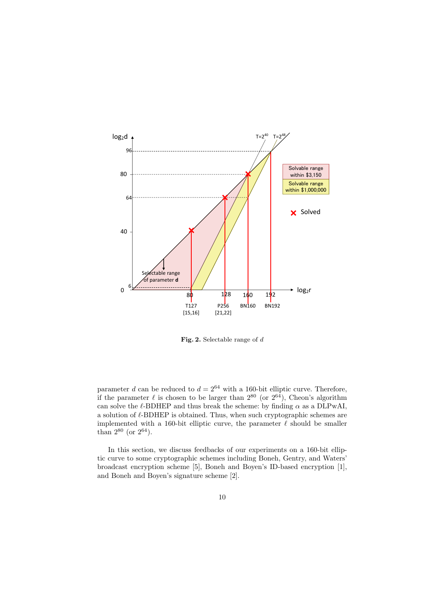

**Fig. 2.** Selectable range of *d*

parameter *d* can be reduced to  $d = 2^{64}$  with a 160-bit elliptic curve. Therefore, if the parameter  $\ell$  is chosen to be larger than  $2^{80}$  (or  $2^{64}$ ), Cheon's algorithm can solve the  $\ell$ -BDHEP and thus break the scheme: by finding  $\alpha$  as a DLPwAI, a solution of *ℓ*-BDHEP is obtained. Thus, when such cryptographic schemes are implemented with a 160-bit elliptic curve, the parameter *ℓ* should be smaller than  $2^{80}$  (or  $2^{64}$ ).

In this section, we discuss feedbacks of our experiments on a 160-bit elliptic curve to some cryptographic schemes including Boneh, Gentry, and Waters' broadcast encryption scheme [5], Boneh and Boyen's ID-based encryption [1], and Boneh and Boyen's signature scheme [2].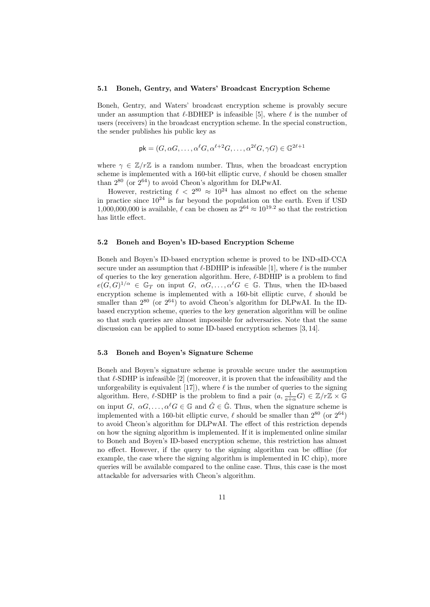#### **5.1 Boneh, Gentry, and Waters' Broadcast Encryption Scheme**

Boneh, Gentry, and Waters' broadcast encryption scheme is provably secure under an assumption that  $\ell$ -BDHEP is infeasible [5], where  $\ell$  is the number of users (receivers) in the broadcast encryption scheme. In the special construction, the sender publishes his public key as

$$
\mathsf{pk} = (G, \alpha G, \dots, \alpha^{\ell} G, \alpha^{\ell+2} G, \dots, \alpha^{2\ell} G, \gamma G) \in \mathbb{G}^{2\ell+1}
$$

where  $\gamma \in \mathbb{Z}/r\mathbb{Z}$  is a random number. Thus, when the broadcast encryption scheme is implemented with a 160-bit elliptic curve, *ℓ* should be chosen smaller than  $2^{80}$  (or  $2^{64}$ ) to avoid Cheon's algorithm for DLPwAI.

However, restricting  $\ell < 2^{80} \approx 10^{24}$  has almost no effect on the scheme in practice since  $10^{24}$  is far beyond the population on the earth. Even if USD 1,000,000,000 is available,  $\ell$  can be chosen as  $2^{64} \approx 10^{19.2}$  so that the restriction has little effect.

#### **5.2 Boneh and Boyen's ID-based Encryption Scheme**

Boneh and Boyen's ID-based encryption scheme is proved to be IND-sID-CCA secure under an assumption that  $\ell$ -BDHIP is infeasible [1], where  $\ell$  is the number of queries to the key generation algorithm. Here, *ℓ*-BDHIP is a problem to find  $e(G, G)^{1/\alpha} \in \mathbb{G}_T$  on input *G*,  $\alpha G, \ldots, \alpha^{\ell} G \in \mathbb{G}$ . Thus, when the ID-based encryption scheme is implemented with a 160-bit elliptic curve, *ℓ* should be smaller than  $2^{80}$  (or  $2^{64}$ ) to avoid Cheon's algorithm for DLPwAI. In the IDbased encryption scheme, queries to the key generation algorithm will be online so that such queries are almost impossible for adversaries. Note that the same discussion can be applied to some ID-based encryption schemes [3, 14].

#### **5.3 Boneh and Boyen's Signature Scheme**

Boneh and Boyen's signature scheme is provable secure under the assumption that *ℓ*-SDHP is infeasible [2] (moreover, it is proven that the infeasibility and the unforgeability is equivalent  $[17]$ , where  $\ell$  is the number of queries to the signing algorithm. Here,  $\ell$ -SDHP is the problem to find a pair  $(a, \frac{1}{a+\alpha}G) \in \mathbb{Z}/r\mathbb{Z} \times \mathbb{G}$ on input *G*,  $\alpha G, \ldots, \alpha^{\ell} G \in \mathbb{G}$  and  $\hat{G} \in \hat{\mathbb{G}}$ . Thus, when the signature scheme is implemented with a 160-bit elliptic curve,  $\ell$  should be smaller than  $2^{80}$  (or  $2^{64}$ ) to avoid Cheon's algorithm for DLPwAI. The effect of this restriction depends on how the signing algorithm is implemented. If it is implemented online similar to Boneh and Boyen's ID-based encryption scheme, this restriction has almost no effect. However, if the query to the signing algorithm can be offline (for example, the case where the signing algorithm is implemented in IC chip), more queries will be available compared to the online case. Thus, this case is the most attackable for adversaries with Cheon's algorithm.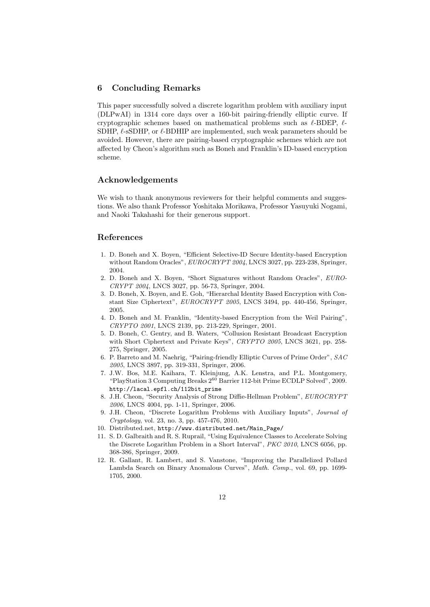# **6 Concluding Remarks**

This paper successfully solved a discrete logarithm problem with auxiliary input (DLPwAI) in 1314 core days over a 160-bit pairing-friendly elliptic curve. If cryptographic schemes based on mathematical problems such as *ℓ*-BDEP, *ℓ*-SDHP, *ℓ*-sSDHP, or *ℓ*-BDHIP are implemented, such weak parameters should be avoided. However, there are pairing-based cryptographic schemes which are not affected by Cheon's algorithm such as Boneh and Franklin's ID-based encryption scheme.

### **Acknowledgements**

We wish to thank anonymous reviewers for their helpful comments and suggestions. We also thank Professor Yoshitaka Morikawa, Professor Yasuyuki Nogami, and Naoki Takahashi for their generous support.

# **References**

- 1. D. Boneh and X. Boyen, "Efficient Selective-ID Secure Identity-based Encryption without Random Oracles", *EUROCRYPT 2004*, LNCS 3027, pp. 223-238, Springer, 2004.
- 2. D. Boneh and X. Boyen, "Short Signatures without Random Oracles", *EURO-CRYPT 2004*, LNCS 3027, pp. 56-73, Springer, 2004.
- 3. D. Boneh, X. Boyen, and E. Goh, "Hierarchal Identity Based Encryption with Constant Size Ciphertext", *EUROCRYPT 2005*, LNCS 3494, pp. 440-456, Springer, 2005.
- 4. D. Boneh and M. Franklin, "Identity-based Encryption from the Weil Pairing", *CRYPTO 2001*, LNCS 2139, pp. 213-229, Springer, 2001.
- 5. D. Boneh, C. Gentry, and B. Waters, "Collusion Resistant Broadcast Encryption with Short Ciphertext and Private Keys", *CRYPTO 2005*, LNCS 3621, pp. 258- 275, Springer, 2005.
- 6. P. Barreto and M. Naehrig, "Pairing-friendly Elliptic Curves of Prime Order", *SAC 2005*, LNCS 3897, pp. 319-331, Springer, 2006.
- 7. J.W. Bos, M.E. Kaihara, T. Kleinjung, A.K. Lenstra, and P.L. Montgomery, "PlayStation 3 Computing Breaks 2<sup>60</sup> Barrier 112-bit Prime ECDLP Solved", 2009. http://lacal.epfl.ch/112bit\_prime
- 8. J.H. Cheon, "Security Analysis of Strong Diffie-Hellman Problem", *EUROCRYPT 2006*, LNCS 4004, pp. 1-11, Springer, 2006.
- 9. J.H. Cheon, "Discrete Logarithm Problems with Auxiliary Inputs", *Journal of Cryptology*, vol. 23, no. 3, pp. 457-476, 2010.
- 10. Distributed.net, http://www.distributed.net/Main\_Page/
- 11. S. D. Galbraith and R. S. Ruprail, "Using Equivalence Classes to Accelerate Solving the Discrete Logarithm Problem in a Short Interval", *PKC 2010*, LNCS 6056, pp. 368-386, Springer, 2009.
- 12. R. Gallant, R. Lambert, and S. Vanstone, "Improving the Parallelized Pollard Lambda Search on Binary Anomalous Curves", *Math. Comp.*, vol. 69, pp. 1699- 1705, 2000.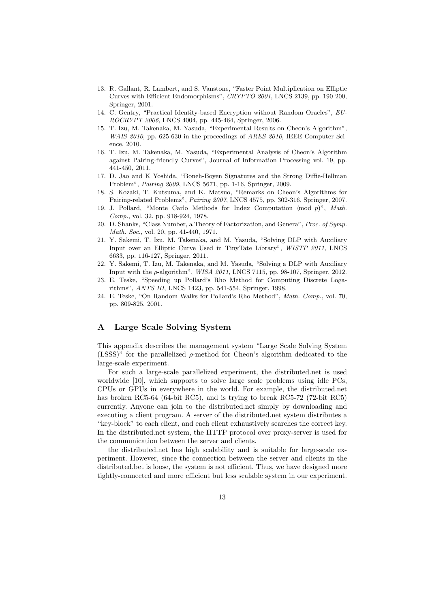- 13. R. Gallant, R. Lambert, and S. Vanstone, "Faster Point Multiplication on Elliptic Curves with Efficient Endomorphisms", *CRYPTO 2001*, LNCS 2139, pp. 190-200, Springer, 2001.
- 14. C. Gentry, "Practical Identity-based Encryption without Random Oracles", *EU-ROCRYPT 2006*, LNCS 4004, pp. 445-464, Springer, 2006.
- 15. T. Izu, M. Takenaka, M. Yasuda, "Experimental Results on Cheon's Algorithm", *WAIS 2010*, pp. 625-630 in the proceedings of *ARES 2010*, IEEE Computer Science, 2010.
- 16. T. Izu, M. Takenaka, M. Yasuda, "Experimental Analysis of Cheon's Algorithm against Pairing-friendly Curves", Journal of Information Processing vol. 19, pp. 441-450, 2011.
- 17. D. Jao and K Yoshida, "Boneh-Boyen Signatures and the Strong Diffie-Hellman Problem", *Pairing 2009*, LNCS 5671, pp. 1-16, Springer, 2009.
- 18. S. Kozaki, T. Kutsuma, and K. Matsuo, "Remarks on Cheon's Algorithms for Pairing-related Problems", *Pairing 2007*, LNCS 4575, pp. 302-316, Springer, 2007.
- 19. J. Pollard, "Monte Carlo Methods for Index Computation (mod *p*)", *Math. Comp.*, vol. 32, pp. 918-924, 1978.
- 20. D. Shanks, "Class Number, a Theory of Factorization, and Genera", *Proc. of Symp. Math. Soc.*, vol. 20, pp. 41-440, 1971.
- 21. Y. Sakemi, T. Izu, M. Takenaka, and M. Yasuda, "Solving DLP with Auxiliary Input over an Elliptic Curve Used in TinyTate Library", *WISTP 2011*, LNCS 6633, pp. 116-127, Springer, 2011.
- 22. Y. Sakemi, T. Izu, M. Takenaka, and M. Yasuda, "Solving a DLP with Auxiliary Input with the *ρ*-algorithm", *WISA 2011*, LNCS 7115, pp. 98-107, Springer, 2012.
- 23. E. Teske, "Speeding up Pollard's Rho Method for Computing Discrete Logarithms", *ANTS III*, LNCS 1423, pp. 541-554, Springer, 1998.
- 24. E. Teske, "On Random Walks for Pollard's Rho Method", *Math. Comp.*, vol. 70, pp. 809-825, 2001.

# **A Large Scale Solving System**

This appendix describes the management system "Large Scale Solving System (LSSS)" for the parallelized *ρ*-method for Cheon's algorithm dedicated to the large-scale experiment.

For such a large-scale parallelized experiment, the distributed.net is used worldwide [10], which supports to solve large scale problems using idle PCs, CPUs or GPUs in everywhere in the world. For example, the distributed.net has broken RC5-64 (64-bit RC5), and is trying to break RC5-72 (72-bit RC5) currently. Anyone can join to the distributed.net simply by downloading and executing a client program. A server of the distributed.net system distributes a "key-block" to each client, and each client exhaustively searches the correct key. In the distributed.net system, the HTTP protocol over proxy-server is used for the communication between the server and clients.

the distributed.net has high scalability and is suitable for large-scale experiment. However, since the connection between the server and clients in the distributed.bet is loose, the system is not efficient. Thus, we have designed more tightly-connected and more efficient but less scalable system in our experiment.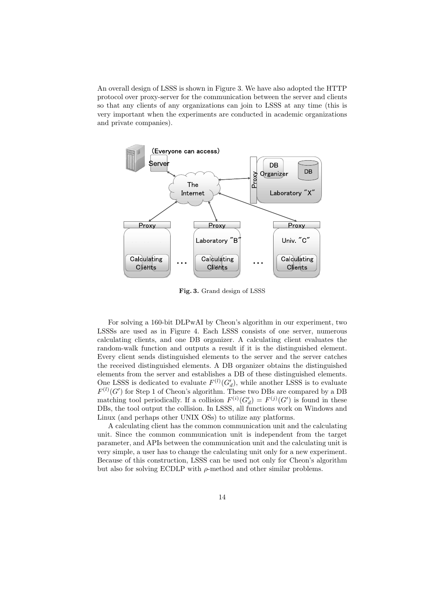An overall design of LSSS is shown in Figure 3. We have also adopted the HTTP protocol over proxy-server for the communication between the server and clients so that any clients of any organizations can join to LSSS at any time (this is very important when the experiments are conducted in academic organizations and private companies).



**Fig. 3.** Grand design of LSSS

For solving a 160-bit DLPwAI by Cheon's algorithm in our experiment, two LSSSs are used as in Figure 4. Each LSSS consists of one server, numerous calculating clients, and one DB organizer. A calculating client evaluates the random-walk function and outputs a result if it is the distinguished element. Every client sends distinguished elements to the server and the server catches the received distinguished elements. A DB organizer obtains the distinguished elements from the server and establishes a DB of these distinguished elements. One LSSS is dedicated to evaluate  $F^{(l)}(G'_{d})$ , while another LSSS is to evaluate  $F^{(l)}(G')$  for Step 1 of Cheon's algorithm. These two DBs are compared by a DB matching tool periodically. If a collision  $F^{(i)}(G'_d) = F^{(j)}(G')$  is found in these DBs, the tool output the collision. In LSSS, all functions work on Windows and Linux (and perhaps other UNIX OSs) to utilize any platforms.

A calculating client has the common communication unit and the calculating unit. Since the common communication unit is independent from the target parameter, and APIs between the communication unit and the calculating unit is very simple, a user has to change the calculating unit only for a new experiment. Because of this construction, LSSS can be used not only for Cheon's algorithm but also for solving ECDLP with *ρ*-method and other similar problems.